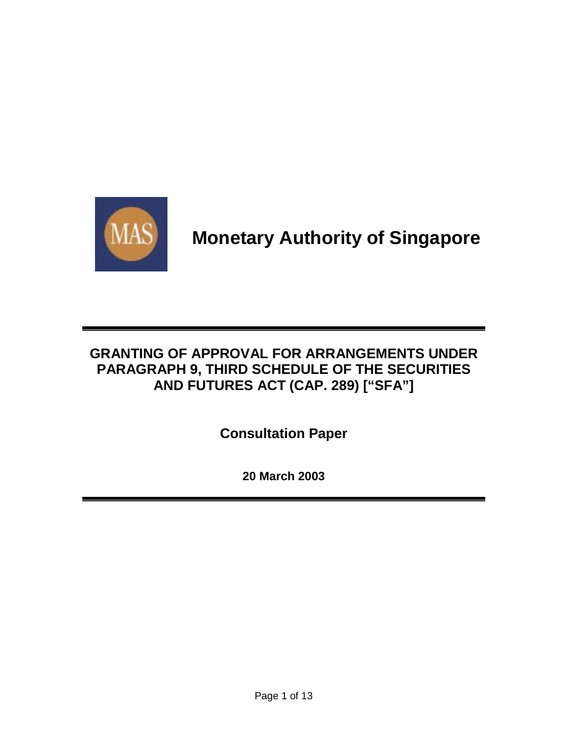

# **Monetary Authority of Singapore**

### **GRANTING OF APPROVAL FOR ARRANGEMENTS UNDER PARAGRAPH 9, THIRD SCHEDULE OF THE SECURITIES AND FUTURES ACT (CAP. 289) ["SFA"]**

**Consultation Paper**

**20 March 2003**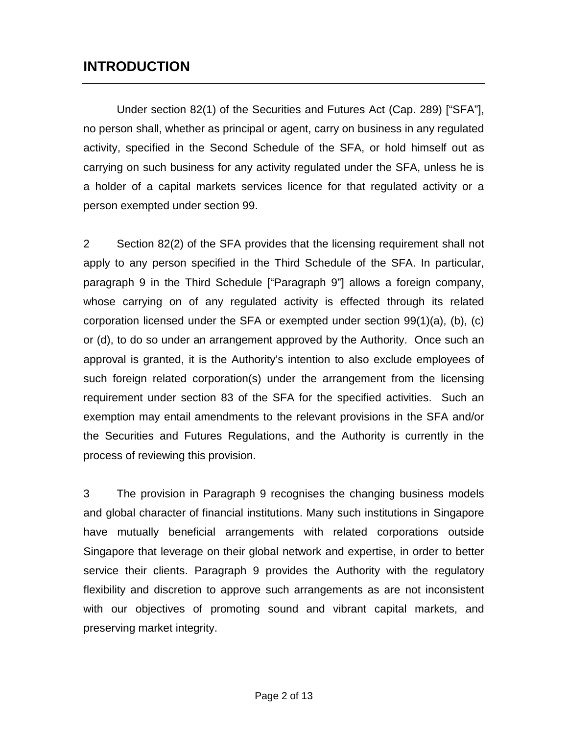### **INTRODUCTION**

 Under section 82(1) of the Securities and Futures Act (Cap. 289) ["SFA"], no person shall, whether as principal or agent, carry on business in any regulated activity, specified in the Second Schedule of the SFA, or hold himself out as carrying on such business for any activity regulated under the SFA, unless he is a holder of a capital markets services licence for that regulated activity or a person exempted under section 99.

2 Section 82(2) of the SFA provides that the licensing requirement shall not apply to any person specified in the Third Schedule of the SFA. In particular, paragraph 9 in the Third Schedule ["Paragraph 9"] allows a foreign company, whose carrying on of any regulated activity is effected through its related corporation licensed under the SFA or exempted under section 99(1)(a), (b), (c) or (d), to do so under an arrangement approved by the Authority. Once such an approval is granted, it is the Authority's intention to also exclude employees of such foreign related corporation(s) under the arrangement from the licensing requirement under section 83 of the SFA for the specified activities. Such an exemption may entail amendments to the relevant provisions in the SFA and/or the Securities and Futures Regulations, and the Authority is currently in the process of reviewing this provision.

3 The provision in Paragraph 9 recognises the changing business models and global character of financial institutions. Many such institutions in Singapore have mutually beneficial arrangements with related corporations outside Singapore that leverage on their global network and expertise, in order to better service their clients. Paragraph 9 provides the Authority with the regulatory flexibility and discretion to approve such arrangements as are not inconsistent with our objectives of promoting sound and vibrant capital markets, and preserving market integrity.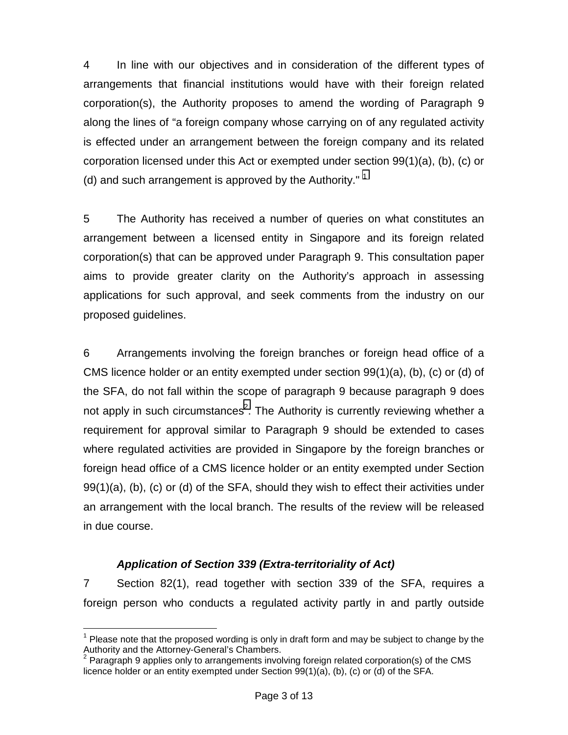4 In line with our objectives and in consideration of the different types of arrangements that financial institutions would have with their foreign related corporation(s), the Authority proposes to amend the wording of Paragraph 9 along the lines of "a foreign company whose carrying on of any regulated activity is effected under an arrangement between the foreign company and its related corporation licensed under this Act or exempted under section 99(1)(a), (b), (c) or (d) and such arrangement is approved by the Authority."  $1$ 

5 The Authority has received a number of queries on what constitutes an arrangement between a licensed entity in Singapore and its foreign related corporation(s) that can be approved under Paragraph 9. This consultation paper aims to provide greater clarity on the Authority's approach in assessing applications for such approval, and seek comments from the industry on our proposed guidelines.

6 Arrangements involving the foreign branches or foreign head office of a CMS licence holder or an entity exempted under section 99(1)(a), (b), (c) or (d) of the SFA, do not fall within the scope of paragraph 9 because paragraph 9 does not apply in such circumstances<sup>2</sup>. The Authority is currently reviewing whether a requirement for approval similar to Paragraph 9 should be extended to cases where regulated activities are provided in Singapore by the foreign branches or foreign head office of a CMS licence holder or an entity exempted under Section 99(1)(a), (b), (c) or (d) of the SFA, should they wish to effect their activities under an arrangement with the local branch. The results of the review will be released in due course.

#### *Application of Section 339 (Extra-territoriality of Act)*

7 Section 82(1), read together with section 339 of the SFA, requires a foreign person who conducts a regulated activity partly in and partly outside

<sup>1</sup>  $1$  Please note that the proposed wording is only in draft form and may be subject to change by the Authority and the Attorney-General's Chambers.

<sup>&</sup>lt;sup>2</sup> Paragraph 9 applies only to arrangements involving foreign related corporation(s) of the CMS licence holder or an entity exempted under Section 99(1)(a), (b), (c) or (d) of the SFA.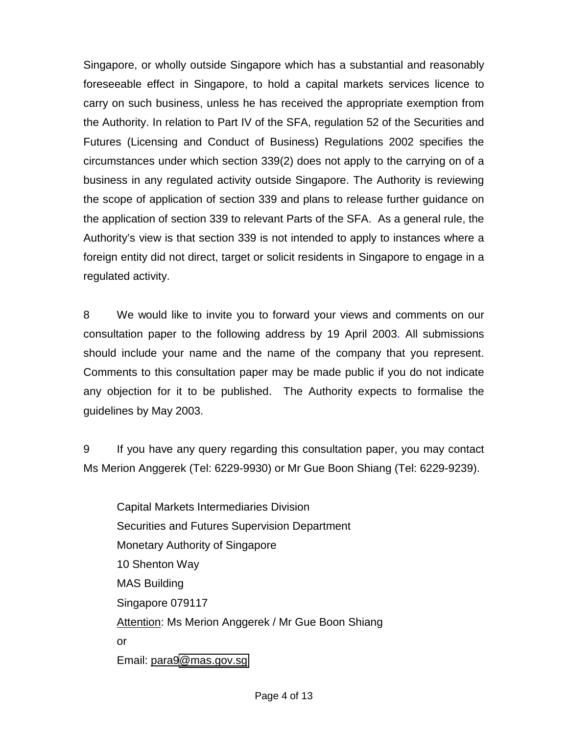Singapore, or wholly outside Singapore which has a substantial and reasonably foreseeable effect in Singapore, to hold a capital markets services licence to carry on such business, unless he has received the appropriate exemption from the Authority. In relation to Part IV of the SFA, regulation 52 of the Securities and Futures (Licensing and Conduct of Business) Regulations 2002 specifies the circumstances under which section 339(2) does not apply to the carrying on of a business in any regulated activity outside Singapore. The Authority is reviewing the scope of application of section 339 and plans to release further guidance on the application of section 339 to relevant Parts of the SFA. As a general rule, the Authority's view is that section 339 is not intended to apply to instances where a foreign entity did not direct, target or solicit residents in Singapore to engage in a regulated activity.

8 We would like to invite you to forward your views and comments on our consultation paper to the following address by 19 April 2003. All submissions should include your name and the name of the company that you represent. Comments to this consultation paper may be made public if you do not indicate any objection for it to be published. The Authority expects to formalise the guidelines by May 2003.

9 If you have any query regarding this consultation paper, you may contact Ms Merion Anggerek (Tel: 6229-9930) or Mr Gue Boon Shiang (Tel: 6229-9239).

 Capital Markets Intermediaries Division Securities and Futures Supervision Department Monetary Authority of Singapore 10 Shenton Way MAS Building Singapore 079117 Attention: Ms Merion Anggerek / Mr Gue Boon Shiang or Email: para[9@mas.gov.sg](mailto:_________@mas.gov.sg)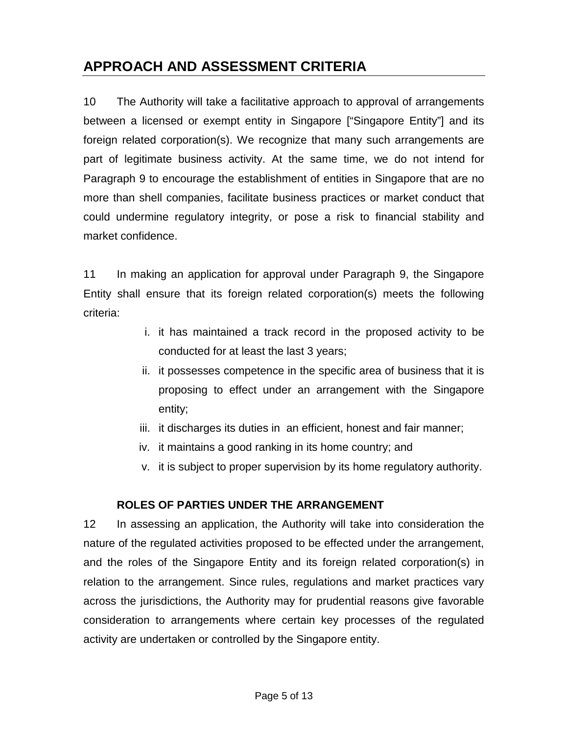# **APPROACH AND ASSESSMENT CRITERIA**

10 The Authority will take a facilitative approach to approval of arrangements between a licensed or exempt entity in Singapore ["Singapore Entity"] and its foreign related corporation(s). We recognize that many such arrangements are part of legitimate business activity. At the same time, we do not intend for Paragraph 9 to encourage the establishment of entities in Singapore that are no more than shell companies, facilitate business practices or market conduct that could undermine regulatory integrity, or pose a risk to financial stability and market confidence.

11 In making an application for approval under Paragraph 9, the Singapore Entity shall ensure that its foreign related corporation(s) meets the following criteria:

- i. it has maintained a track record in the proposed activity to be conducted for at least the last 3 years;
- ii. it possesses competence in the specific area of business that it is proposing to effect under an arrangement with the Singapore entity;
- iii. it discharges its duties in an efficient, honest and fair manner;
- iv. it maintains a good ranking in its home country; and
- v. it is subject to proper supervision by its home regulatory authority.

#### **ROLES OF PARTIES UNDER THE ARRANGEMENT**

12 In assessing an application, the Authority will take into consideration the nature of the regulated activities proposed to be effected under the arrangement, and the roles of the Singapore Entity and its foreign related corporation(s) in relation to the arrangement. Since rules, regulations and market practices vary across the jurisdictions, the Authority may for prudential reasons give favorable consideration to arrangements where certain key processes of the regulated activity are undertaken or controlled by the Singapore entity.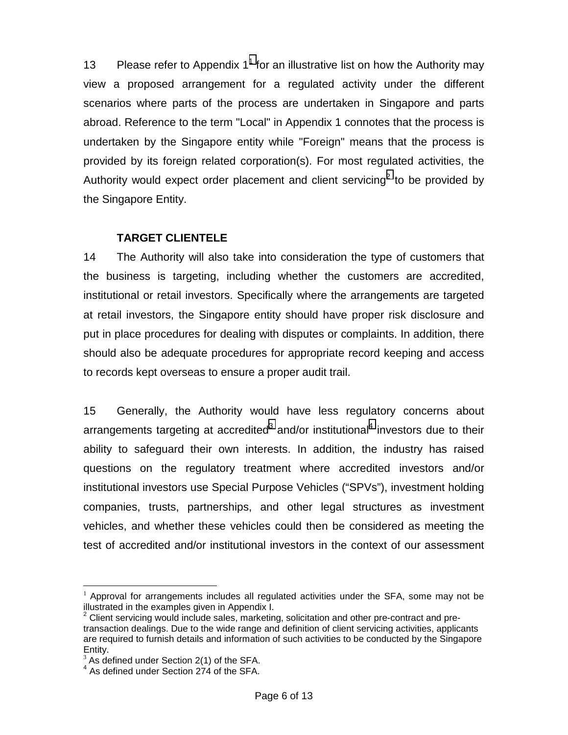13 Please refer to Appendix  $1^1$  for an illustrative list on how the Authority may view a proposed arrangement for a regulated activity under the different scenarios where parts of the process are undertaken in Singapore and parts abroad. Reference to the term "Local" in Appendix 1 connotes that the process is undertaken by the Singapore entity while "Foreign" means that the process is provided by its foreign related corporation(s). For most regulated activities, the Authority would expect order placement and client servicing<sup>2</sup> to be provided by the Singapore Entity.

#### **TARGET CLIENTELE**

14 The Authority will also take into consideration the type of customers that the business is targeting, including whether the customers are accredited, institutional or retail investors. Specifically where the arrangements are targeted at retail investors, the Singapore entity should have proper risk disclosure and put in place procedures for dealing with disputes or complaints. In addition, there should also be adequate procedures for appropriate record keeping and access to records kept overseas to ensure a proper audit trail.

15 Generally, the Authority would have less regulatory concerns about arrangements targeting at accredited<sup>3</sup> and/or institutional<sup>4</sup> investors due to their ability to safeguard their own interests. In addition, the industry has raised questions on the regulatory treatment where accredited investors and/or institutional investors use Special Purpose Vehicles ("SPVs"), investment holding companies, trusts, partnerships, and other legal structures as investment vehicles, and whether these vehicles could then be considered as meeting the test of accredited and/or institutional investors in the context of our assessment

 $\overline{a}$  $1$  Approval for arrangements includes all regulated activities under the SFA, some may not be illustrated in the examples given in Appendix I.

 $2$  Client servicing would include sales, marketing, solicitation and other pre-contract and pretransaction dealings. Due to the wide range and definition of client servicing activities, applicants are required to furnish details and information of such activities to be conducted by the Singapore Entity.

 $3$  As defined under Section 2(1) of the SFA.

 $4$  As defined under Section 274 of the SFA.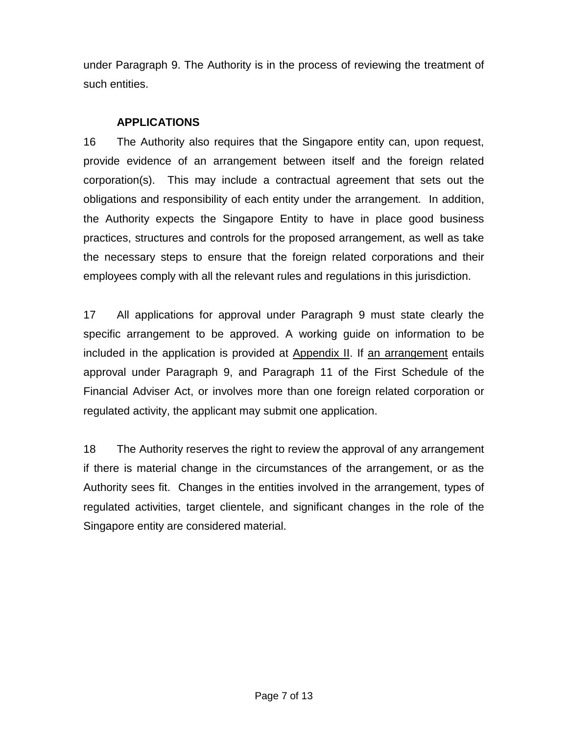under Paragraph 9. The Authority is in the process of reviewing the treatment of such entities.

#### **APPLICATIONS**

16 The Authority also requires that the Singapore entity can, upon request, provide evidence of an arrangement between itself and the foreign related corporation(s). This may include a contractual agreement that sets out the obligations and responsibility of each entity under the arrangement. In addition, the Authority expects the Singapore Entity to have in place good business practices, structures and controls for the proposed arrangement, as well as take the necessary steps to ensure that the foreign related corporations and their employees comply with all the relevant rules and regulations in this jurisdiction.

17 All applications for approval under Paragraph 9 must state clearly the specific arrangement to be approved. A working guide on information to be included in the application is provided at Appendix II. If an arrangement entails approval under Paragraph 9, and Paragraph 11 of the First Schedule of the Financial Adviser Act, or involves more than one foreign related corporation or regulated activity, the applicant may submit one application.

18 The Authority reserves the right to review the approval of any arrangement if there is material change in the circumstances of the arrangement, or as the Authority sees fit. Changes in the entities involved in the arrangement, types of regulated activities, target clientele, and significant changes in the role of the Singapore entity are considered material.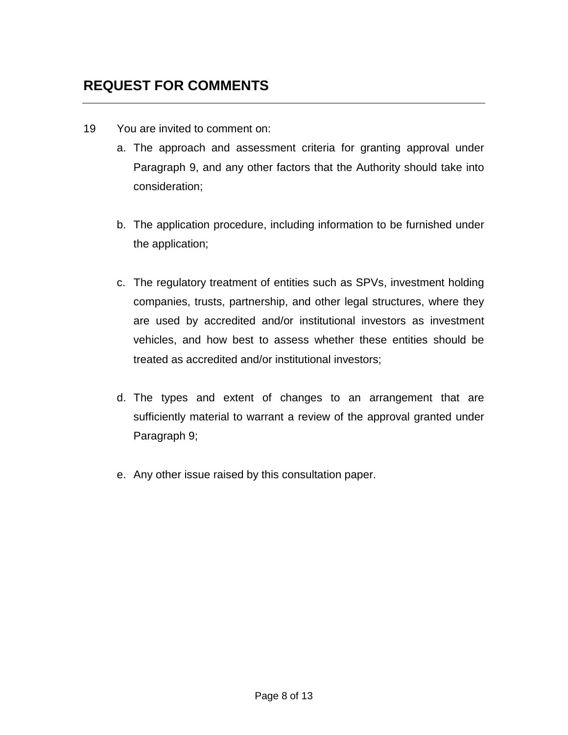# **REQUEST FOR COMMENTS**

- 19 You are invited to comment on:
	- a. The approach and assessment criteria for granting approval under Paragraph 9, and any other factors that the Authority should take into consideration;
	- b. The application procedure, including information to be furnished under the application;
	- c. The regulatory treatment of entities such as SPVs, investment holding companies, trusts, partnership, and other legal structures, where they are used by accredited and/or institutional investors as investment vehicles, and how best to assess whether these entities should be treated as accredited and/or institutional investors;
	- d. The types and extent of changes to an arrangement that are sufficiently material to warrant a review of the approval granted under Paragraph 9;
	- e. Any other issue raised by this consultation paper.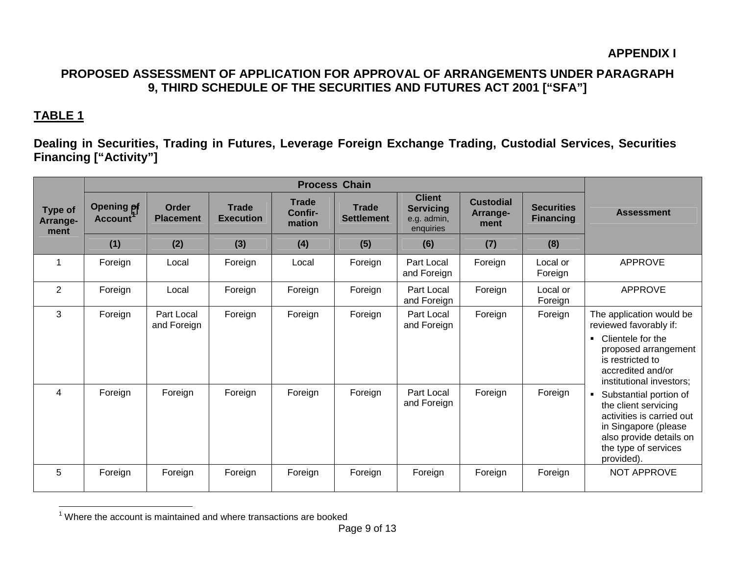### **PROPOSED ASSESSMENT OF APPLICATION FOR APPROVAL OF ARRANGEMENTS UNDER PARAGRAPH 9, THIRD SCHEDULE OF THE SECURITIES AND FUTURES ACT 2001 ["SFA"]**

### **TABLE 1**

**Dealing in Securities, Trading in Futures, Leverage Foreign Exchange Trading, Custodial Services, Securities Financing ["Activity"]** 

| <b>Type of</b><br>Arrange-<br>ment | <b>Opening of</b><br>Account <sup>1</sup> | <b>Order</b><br><b>Placement</b> | <b>Trade</b><br><b>Execution</b> | <b>Trade</b><br>Confir-<br>mation | <b>Trade</b><br><b>Settlement</b> | <b>Client</b><br><b>Servicing</b><br>e.g. admin,<br>enquiries | <b>Custodial</b><br>Arrange-<br>ment | <b>Securities</b><br><b>Financing</b> | <b>Assessment</b>                                                                                                                                                                                                                                                                                                                                                                |
|------------------------------------|-------------------------------------------|----------------------------------|----------------------------------|-----------------------------------|-----------------------------------|---------------------------------------------------------------|--------------------------------------|---------------------------------------|----------------------------------------------------------------------------------------------------------------------------------------------------------------------------------------------------------------------------------------------------------------------------------------------------------------------------------------------------------------------------------|
|                                    | (1)                                       | (2)                              | (3)                              | (4)                               | (5)                               | (6)                                                           | (7)                                  | (8)                                   |                                                                                                                                                                                                                                                                                                                                                                                  |
|                                    | Foreign                                   | Local                            | Foreign                          | Local                             | Foreign                           | Part Local<br>and Foreign                                     | Foreign                              | Local or<br>Foreign                   | <b>APPROVE</b>                                                                                                                                                                                                                                                                                                                                                                   |
| 2                                  | Foreign                                   | Local                            | Foreign                          | Foreign                           | Foreign                           | Part Local<br>and Foreign                                     | Foreign                              | Local or<br>Foreign                   | <b>APPROVE</b>                                                                                                                                                                                                                                                                                                                                                                   |
| 3                                  | Foreign                                   | Part Local<br>and Foreign        | Foreign                          | Foreign                           | Foreign                           | Part Local<br>and Foreign                                     | Foreign                              | Foreign                               | The application would be<br>reviewed favorably if:<br>Clientele for the<br>$\blacksquare$<br>proposed arrangement<br>is restricted to<br>accredited and/or<br>institutional investors;<br>Substantial portion of<br>$\blacksquare$<br>the client servicing<br>activities is carried out<br>in Singapore (please<br>also provide details on<br>the type of services<br>provided). |
| 4                                  | Foreign                                   | Foreign                          | Foreign                          | Foreign                           | Foreign                           | Part Local<br>and Foreign                                     | Foreign                              | Foreign                               |                                                                                                                                                                                                                                                                                                                                                                                  |
| 5                                  | Foreign                                   | Foreign                          | Foreign                          | Foreign                           | Foreign                           | Foreign                                                       | Foreign                              | Foreign                               | <b>NOT APPROVE</b>                                                                                                                                                                                                                                                                                                                                                               |

 $1$  Where the account is maintained and where transactions are booked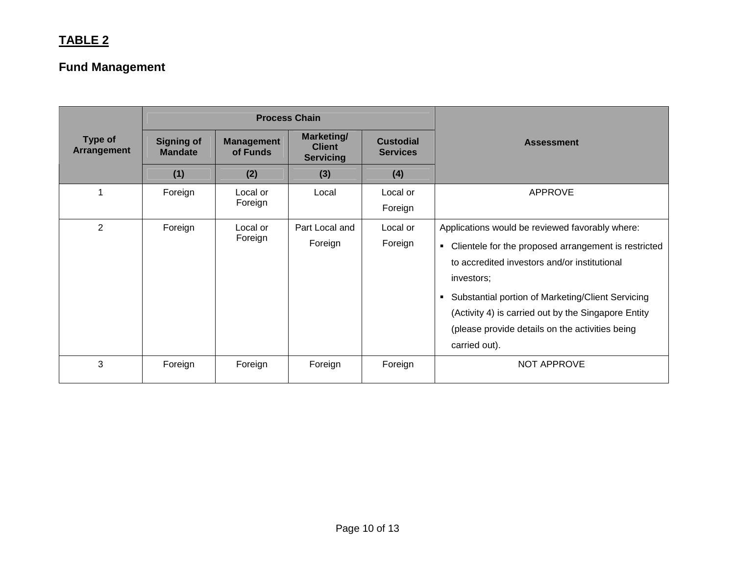### **TABLE 2**

# **Fund Management**

|                               |                                     |                               | <b>Process Chain</b>                            | <b>Assessment</b>   |                                                                                                                                                                                                                                                                                                                                                           |  |
|-------------------------------|-------------------------------------|-------------------------------|-------------------------------------------------|---------------------|-----------------------------------------------------------------------------------------------------------------------------------------------------------------------------------------------------------------------------------------------------------------------------------------------------------------------------------------------------------|--|
| Type of<br><b>Arrangement</b> | <b>Signing of</b><br><b>Mandate</b> | <b>Management</b><br>of Funds | Marketing/<br><b>Client</b><br><b>Servicing</b> |                     |                                                                                                                                                                                                                                                                                                                                                           |  |
|                               | (1)                                 | (2)                           | (3)                                             | (4)                 |                                                                                                                                                                                                                                                                                                                                                           |  |
|                               | Foreign                             | Local or<br>Foreign           | Local                                           | Local or<br>Foreign | <b>APPROVE</b>                                                                                                                                                                                                                                                                                                                                            |  |
| $\overline{2}$                | Foreign                             | Local or<br>Foreign           | Part Local and<br>Foreign                       | Local or<br>Foreign | Applications would be reviewed favorably where:<br>• Clientele for the proposed arrangement is restricted<br>to accredited investors and/or institutional<br>investors;<br>• Substantial portion of Marketing/Client Servicing<br>(Activity 4) is carried out by the Singapore Entity<br>(please provide details on the activities being<br>carried out). |  |
| 3                             | Foreign                             | Foreign                       | Foreign                                         | Foreign             | NOT APPROVE                                                                                                                                                                                                                                                                                                                                               |  |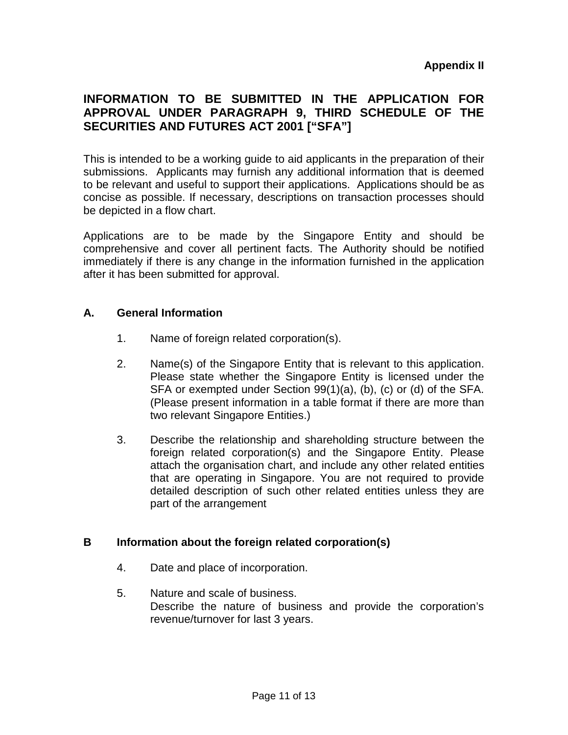### **INFORMATION TO BE SUBMITTED IN THE APPLICATION FOR APPROVAL UNDER PARAGRAPH 9, THIRD SCHEDULE OF THE SECURITIES AND FUTURES ACT 2001 ["SFA"]**

This is intended to be a working guide to aid applicants in the preparation of their submissions. Applicants may furnish any additional information that is deemed to be relevant and useful to support their applications. Applications should be as concise as possible. If necessary, descriptions on transaction processes should be depicted in a flow chart.

Applications are to be made by the Singapore Entity and should be comprehensive and cover all pertinent facts. The Authority should be notified immediately if there is any change in the information furnished in the application after it has been submitted for approval.

#### **A. General Information**

- 1. Name of foreign related corporation(s).
- 2. Name(s) of the Singapore Entity that is relevant to this application. Please state whether the Singapore Entity is licensed under the SFA or exempted under Section 99(1)(a), (b), (c) or (d) of the SFA. (Please present information in a table format if there are more than two relevant Singapore Entities.)
- 3. Describe the relationship and shareholding structure between the foreign related corporation(s) and the Singapore Entity. Please attach the organisation chart, and include any other related entities that are operating in Singapore. You are not required to provide detailed description of such other related entities unless they are part of the arrangement

#### **B Information about the foreign related corporation(s)**

- 4. Date and place of incorporation.
- 5. Nature and scale of business. Describe the nature of business and provide the corporation's revenue/turnover for last 3 years.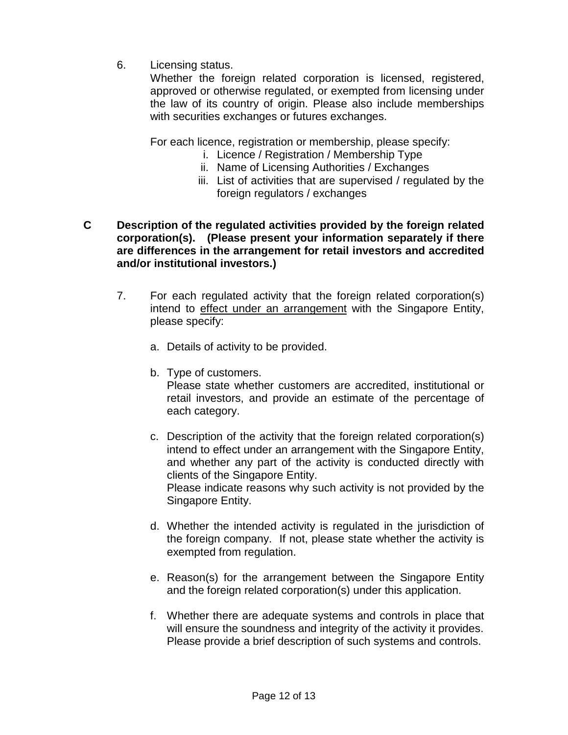6. Licensing status.

Whether the foreign related corporation is licensed, registered, approved or otherwise regulated, or exempted from licensing under the law of its country of origin. Please also include memberships with securities exchanges or futures exchanges.

For each licence, registration or membership, please specify:

- i. Licence / Registration / Membership Type
- ii. Name of Licensing Authorities / Exchanges
- iii. List of activities that are supervised / regulated by the foreign regulators / exchanges
- **C Description of the regulated activities provided by the foreign related corporation(s). (Please present your information separately if there are differences in the arrangement for retail investors and accredited and/or institutional investors.)** 
	- 7. For each regulated activity that the foreign related corporation(s) intend to effect under an arrangement with the Singapore Entity, please specify:
		- a. Details of activity to be provided.
		- b. Type of customers.

Please state whether customers are accredited, institutional or retail investors, and provide an estimate of the percentage of each category.

c. Description of the activity that the foreign related corporation(s) intend to effect under an arrangement with the Singapore Entity, and whether any part of the activity is conducted directly with clients of the Singapore Entity.

Please indicate reasons why such activity is not provided by the Singapore Entity.

- d. Whether the intended activity is regulated in the jurisdiction of the foreign company. If not, please state whether the activity is exempted from regulation.
- e. Reason(s) for the arrangement between the Singapore Entity and the foreign related corporation(s) under this application.
- f. Whether there are adequate systems and controls in place that will ensure the soundness and integrity of the activity it provides. Please provide a brief description of such systems and controls.